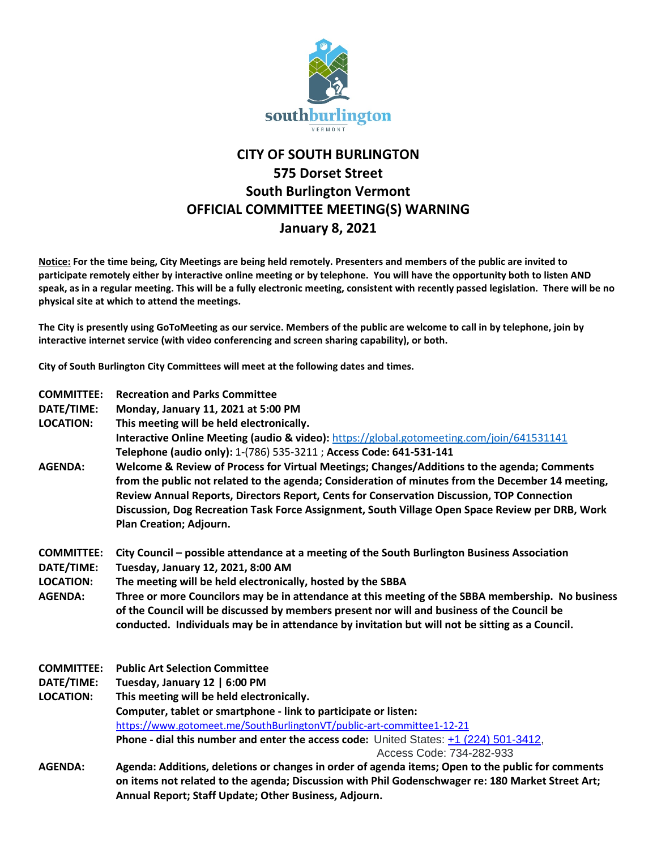

## **CITY OF SOUTH BURLINGTON 575 Dorset Street South Burlington Vermont OFFICIAL COMMITTEE MEETING(S) WARNING January 8, 2021**

**Notice: For the time being, City Meetings are being held remotely. Presenters and members of the public are invited to participate remotely either by interactive online meeting or by telephone. You will have the opportunity both to listen AND speak, as in a regular meeting. This will be a fully electronic meeting, consistent with recently passed legislation. There will be no physical site at which to attend the meetings.** 

**The City is presently using GoToMeeting as our service. Members of the public are welcome to call in by telephone, join by interactive internet service (with video conferencing and screen sharing capability), or both.**

**City of South Burlington City Committees will meet at the following dates and times.** 

| <b>COMMITTEE:</b><br>DATE/TIME:<br><b>LOCATION:</b>                   | <b>Recreation and Parks Committee</b><br>Monday, January 11, 2021 at 5:00 PM<br>This meeting will be held electronically.<br><b>Interactive Online Meeting (audio &amp; video):</b> https://global.gotomeeting.com/join/641531141<br>Telephone (audio only): 1-(786) 535-3211 ; Access Code: 641-531-141                                                                                                                                                                                                 |
|-----------------------------------------------------------------------|----------------------------------------------------------------------------------------------------------------------------------------------------------------------------------------------------------------------------------------------------------------------------------------------------------------------------------------------------------------------------------------------------------------------------------------------------------------------------------------------------------|
| <b>AGENDA:</b>                                                        | Welcome & Review of Process for Virtual Meetings; Changes/Additions to the agenda; Comments<br>from the public not related to the agenda; Consideration of minutes from the December 14 meeting,<br>Review Annual Reports, Directors Report, Cents for Conservation Discussion, TOP Connection<br>Discussion, Dog Recreation Task Force Assignment, South Village Open Space Review per DRB, Work<br>Plan Creation; Adjourn.                                                                             |
| <b>COMMITTEE:</b><br>DATE/TIME:<br><b>LOCATION:</b><br><b>AGENDA:</b> | City Council – possible attendance at a meeting of the South Burlington Business Association<br>Tuesday, January 12, 2021, 8:00 AM<br>The meeting will be held electronically, hosted by the SBBA<br>Three or more Councilors may be in attendance at this meeting of the SBBA membership. No business<br>of the Council will be discussed by members present nor will and business of the Council be<br>conducted. Individuals may be in attendance by invitation but will not be sitting as a Council. |
| <b>COMMITTEE:</b>                                                     | <b>Public Art Selection Committee</b>                                                                                                                                                                                                                                                                                                                                                                                                                                                                    |
| DATE/TIME:                                                            | Tuesday, January 12   6:00 PM                                                                                                                                                                                                                                                                                                                                                                                                                                                                            |
| <b>LOCATION:</b>                                                      | This meeting will be held electronically.                                                                                                                                                                                                                                                                                                                                                                                                                                                                |
|                                                                       | Computer, tablet or smartphone - link to participate or listen:                                                                                                                                                                                                                                                                                                                                                                                                                                          |
|                                                                       | https://www.gotomeet.me/SouthBurlingtonVT/public-art-committee1-12-21                                                                                                                                                                                                                                                                                                                                                                                                                                    |
|                                                                       | Phone - dial this number and enter the access code: United States: +1 (224) 501-3412,<br>Access Code: 734-282-933                                                                                                                                                                                                                                                                                                                                                                                        |
| <b>AGENDA:</b>                                                        | Agenda: Additions, deletions or changes in order of agenda items; Open to the public for comments                                                                                                                                                                                                                                                                                                                                                                                                        |
|                                                                       | on items not related to the agenda; Discussion with Phil Godenschwager re: 180 Market Street Art;<br>Annual Report; Staff Update; Other Business, Adjourn.                                                                                                                                                                                                                                                                                                                                               |